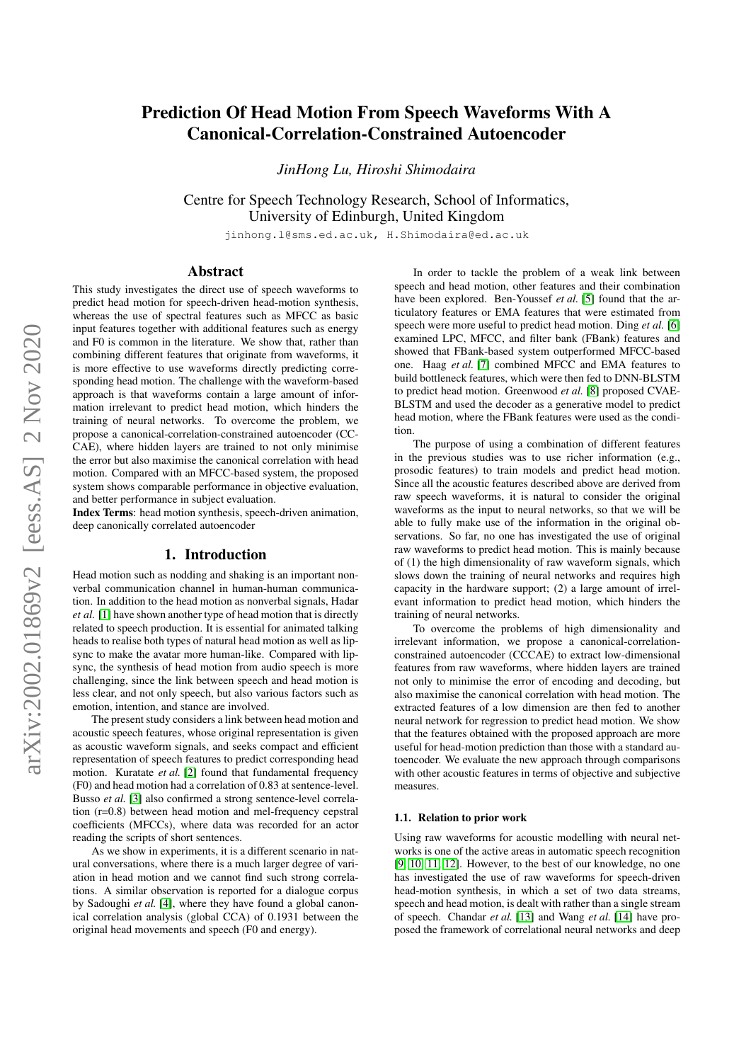# Prediction Of Head Motion From Speech Waveforms With A Canonical-Correlation-Constrained Autoencoder

*JinHong Lu, Hiroshi Shimodaira*

Centre for Speech Technology Research, School of Informatics, University of Edinburgh, United Kingdom

jinhong.l@sms.ed.ac.uk, H.Shimodaira@ed.ac.uk

# Abstract

This study investigates the direct use of speech waveforms to predict head motion for speech-driven head-motion synthesis, whereas the use of spectral features such as MFCC as basic input features together with additional features such as energy and F0 is common in the literature. We show that, rather than combining different features that originate from waveforms, it is more effective to use waveforms directly predicting corresponding head motion. The challenge with the waveform-based approach is that waveforms contain a large amount of information irrelevant to predict head motion, which hinders the training of neural networks. To overcome the problem, we propose a canonical-correlation-constrained autoencoder (CC-CAE), where hidden layers are trained to not only minimise the error but also maximise the canonical correlation with head motion. Compared with an MFCC-based system, the proposed system shows comparable performance in objective evaluation, and better performance in subject evaluation.

Index Terms: head motion synthesis, speech-driven animation, deep canonically correlated autoencoder

#### 1. Introduction

Head motion such as nodding and shaking is an important nonverbal communication channel in human-human communication. In addition to the head motion as nonverbal signals, Hadar *et al.* [\[1\]](#page-4-0) have shown another type of head motion that is directly related to speech production. It is essential for animated talking heads to realise both types of natural head motion as well as lipsync to make the avatar more human-like. Compared with lipsync, the synthesis of head motion from audio speech is more challenging, since the link between speech and head motion is less clear, and not only speech, but also various factors such as emotion, intention, and stance are involved.

The present study considers a link between head motion and acoustic speech features, whose original representation is given as acoustic waveform signals, and seeks compact and efficient representation of speech features to predict corresponding head motion. Kuratate *et al.* [\[2\]](#page-4-1) found that fundamental frequency (F0) and head motion had a correlation of 0.83 at sentence-level. Busso *et al.* [\[3\]](#page-4-2) also confirmed a strong sentence-level correlation (r=0.8) between head motion and mel-frequency cepstral coefficients (MFCCs), where data was recorded for an actor reading the scripts of short sentences.

As we show in experiments, it is a different scenario in natural conversations, where there is a much larger degree of variation in head motion and we cannot find such strong correlations. A similar observation is reported for a dialogue corpus by Sadoughi *et al.* [\[4\]](#page-4-3), where they have found a global canonical correlation analysis (global CCA) of 0.1931 between the original head movements and speech (F0 and energy).

In order to tackle the problem of a weak link between speech and head motion, other features and their combination have been explored. Ben-Youssef *et al.* [\[5\]](#page-4-4) found that the articulatory features or EMA features that were estimated from speech were more useful to predict head motion. Ding *et al.* [\[6\]](#page-4-5) examined LPC, MFCC, and filter bank (FBank) features and showed that FBank-based system outperformed MFCC-based one. Haag *et al.* [\[7\]](#page-4-6) combined MFCC and EMA features to build bottleneck features, which were then fed to DNN-BLSTM to predict head motion. Greenwood *et al.* [\[8\]](#page-4-7) proposed CVAE-BLSTM and used the decoder as a generative model to predict head motion, where the FBank features were used as the condition.

The purpose of using a combination of different features in the previous studies was to use richer information (e.g., prosodic features) to train models and predict head motion. Since all the acoustic features described above are derived from raw speech waveforms, it is natural to consider the original waveforms as the input to neural networks, so that we will be able to fully make use of the information in the original observations. So far, no one has investigated the use of original raw waveforms to predict head motion. This is mainly because of (1) the high dimensionality of raw waveform signals, which slows down the training of neural networks and requires high capacity in the hardware support; (2) a large amount of irrelevant information to predict head motion, which hinders the training of neural networks.

To overcome the problems of high dimensionality and irrelevant information, we propose a canonical-correlationconstrained autoencoder (CCCAE) to extract low-dimensional features from raw waveforms, where hidden layers are trained not only to minimise the error of encoding and decoding, but also maximise the canonical correlation with head motion. The extracted features of a low dimension are then fed to another neural network for regression to predict head motion. We show that the features obtained with the proposed approach are more useful for head-motion prediction than those with a standard autoencoder. We evaluate the new approach through comparisons with other acoustic features in terms of objective and subjective measures.

#### 1.1. Relation to prior work

Using raw waveforms for acoustic modelling with neural networks is one of the active areas in automatic speech recognition [\[9,](#page-4-8) [10,](#page-4-9) [11,](#page-4-10) [12\]](#page-4-11). However, to the best of our knowledge, no one has investigated the use of raw waveforms for speech-driven head-motion synthesis, in which a set of two data streams, speech and head motion, is dealt with rather than a single stream of speech. Chandar *et al.* [\[13\]](#page-4-12) and Wang *et al.* [\[14\]](#page-4-13) have proposed the framework of correlational neural networks and deep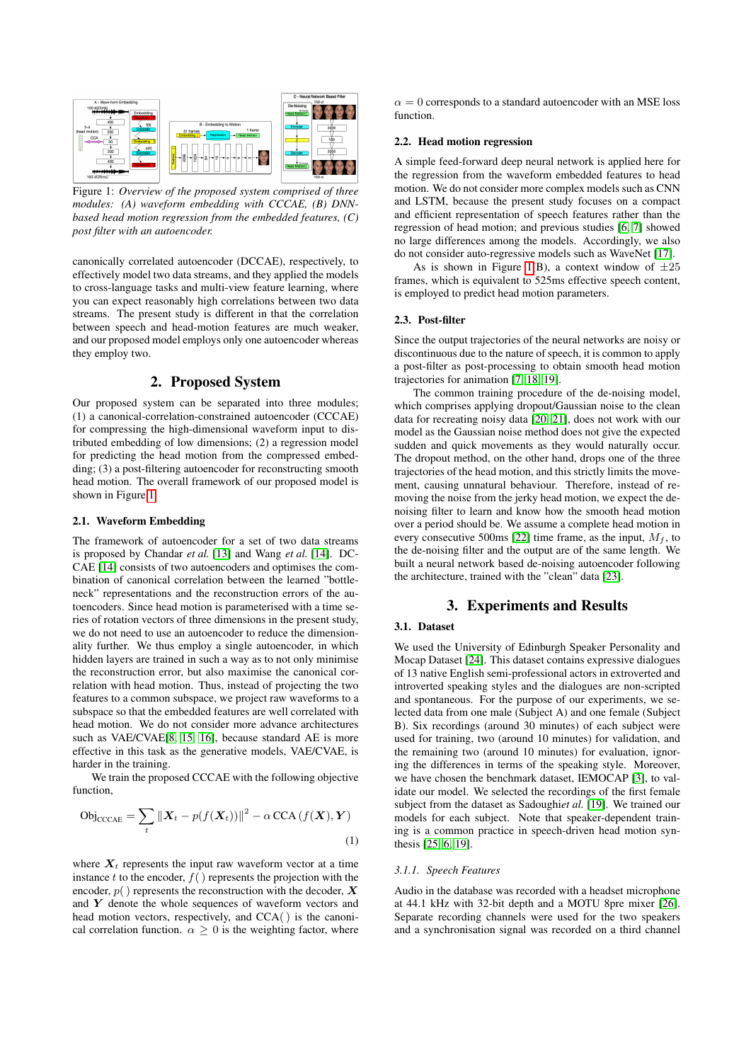<span id="page-1-0"></span>

Figure 1: *Overview of the proposed system comprised of three modules: (A) waveform embedding with CCCAE, (B) DNNbased head motion regression from the embedded features, (C) post filter with an autoencoder.*

canonically correlated autoencoder (DCCAE), respectively, to effectively model two data streams, and they applied the models to cross-language tasks and multi-view feature learning, where you can expect reasonably high correlations between two data streams. The present study is different in that the correlation between speech and head-motion features are much weaker, and our proposed model employs only one autoencoder whereas they employ two.

# 2. Proposed System

Our proposed system can be separated into three modules; (1) a canonical-correlation-constrained autoencoder (CCCAE) for compressing the high-dimensional waveform input to distributed embedding of low dimensions; (2) a regression model for predicting the head motion from the compressed embedding; (3) a post-filtering autoencoder for reconstructing smooth head motion. The overall framework of our proposed model is shown in Figure [1.](#page-1-0)

### 2.1. Waveform Embedding

The framework of autoencoder for a set of two data streams is proposed by Chandar *et al.* [\[13\]](#page-4-12) and Wang *et al.* [\[14\]](#page-4-13). DC-CAE [\[14\]](#page-4-13) consists of two autoencoders and optimises the combination of canonical correlation between the learned "bottleneck" representations and the reconstruction errors of the autoencoders. Since head motion is parameterised with a time series of rotation vectors of three dimensions in the present study, we do not need to use an autoencoder to reduce the dimensionality further. We thus employ a single autoencoder, in which hidden layers are trained in such a way as to not only minimise the reconstruction error, but also maximise the canonical correlation with head motion. Thus, instead of projecting the two features to a common subspace, we project raw waveforms to a subspace so that the embedded features are well correlated with head motion. We do not consider more advance architectures such as VAE/CVAE[\[8,](#page-4-7) [15,](#page-4-14) [16\]](#page-4-15), because standard AE is more effective in this task as the generative models, VAE/CVAE, is harder in the training.

We train the proposed CCCAE with the following objective function,

$$
\text{Obj}_{\text{CCAE}} = \sum_{t} ||\boldsymbol{X}_{t} - p(f(\boldsymbol{X}_{t}))||^{2} - \alpha \text{CCA}(f(\boldsymbol{X}), \boldsymbol{Y})
$$
\n(1)

where  $X_t$  represents the input raw waveform vector at a time instance t to the encoder,  $f()$  represents the projection with the encoder,  $p()$  represents the reconstruction with the decoder,  $X$ and  $Y$  denote the whole sequences of waveform vectors and head motion vectors, respectively, and CCA() is the canonical correlation function.  $\alpha \geq 0$  is the weighting factor, where  $\alpha = 0$  corresponds to a standard autoencoder with an MSE loss function.

#### 2.2. Head motion regression

A simple feed-forward deep neural network is applied here for the regression from the waveform embedded features to head motion. We do not consider more complex models such as CNN and LSTM, because the present study focuses on a compact and efficient representation of speech features rather than the regression of head motion; and previous studies [\[6,](#page-4-5) [7\]](#page-4-6) showed no large differences among the models. Accordingly, we also do not consider auto-regressive models such as WaveNet [\[17\]](#page-4-16).

As is shown in Figure [1\(](#page-1-0)B), a context window of  $\pm 25$ frames, which is equivalent to 525ms effective speech content, is employed to predict head motion parameters.

#### 2.3. Post-filter

Since the output trajectories of the neural networks are noisy or discontinuous due to the nature of speech, it is common to apply a post-filter as post-processing to obtain smooth head motion trajectories for animation [\[7,](#page-4-6) [18,](#page-4-17) [19\]](#page-4-18).

The common training procedure of the de-noising model, which comprises applying dropout/Gaussian noise to the clean data for recreating noisy data [\[20,](#page-4-19) [21\]](#page-4-20), does not work with our model as the Gaussian noise method does not give the expected sudden and quick movements as they would naturally occur. The dropout method, on the other hand, drops one of the three trajectories of the head motion, and this strictly limits the movement, causing unnatural behaviour. Therefore, instead of removing the noise from the jerky head motion, we expect the denoising filter to learn and know how the smooth head motion over a period should be. We assume a complete head motion in every consecutive 500ms [\[22\]](#page-4-21) time frame, as the input,  $M_f$ , to the de-noising filter and the output are of the same length. We built a neural network based de-noising autoencoder following the architecture, trained with the "clean" data [\[23\]](#page-4-22).

# 3. Experiments and Results

### 3.1. Dataset

We used the University of Edinburgh Speaker Personality and Mocap Dataset [\[24\]](#page-4-23). This dataset contains expressive dialogues of 13 native English semi-professional actors in extroverted and introverted speaking styles and the dialogues are non-scripted and spontaneous. For the purpose of our experiments, we selected data from one male (Subject A) and one female (Subject B). Six recordings (around 30 minutes) of each subject were used for training, two (around 10 minutes) for validation, and the remaining two (around 10 minutes) for evaluation, ignoring the differences in terms of the speaking style. Moreover, we have chosen the benchmark dataset, IEMOCAP [\[3\]](#page-4-2), to validate our model. We selected the recordings of the first female subject from the dataset as Sadoughi*et al.* [\[19\]](#page-4-18). We trained our models for each subject. Note that speaker-dependent training is a common practice in speech-driven head motion synthesis [\[25,](#page-4-24) [6,](#page-4-5) [19\]](#page-4-18).

#### *3.1.1. Speech Features*

Audio in the database was recorded with a headset microphone at 44.1 kHz with 32-bit depth and a MOTU 8pre mixer [\[26\]](#page-4-25). Separate recording channels were used for the two speakers and a synchronisation signal was recorded on a third channel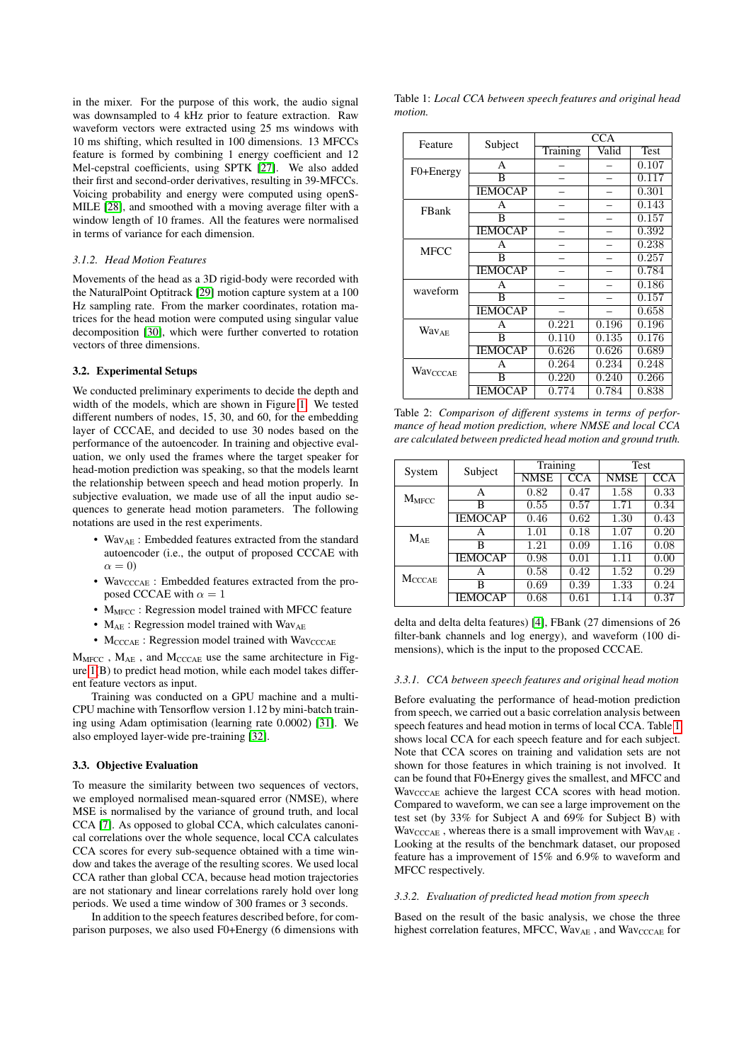in the mixer. For the purpose of this work, the audio signal was downsampled to 4 kHz prior to feature extraction. Raw waveform vectors were extracted using 25 ms windows with 10 ms shifting, which resulted in 100 dimensions. 13 MFCCs feature is formed by combining 1 energy coefficient and 12 Mel-cepstral coefficients, using SPTK [\[27\]](#page-4-26). We also added their first and second-order derivatives, resulting in 39-MFCCs. Voicing probability and energy were computed using openS-MILE [\[28\]](#page-4-27), and smoothed with a moving average filter with a window length of 10 frames. All the features were normalised in terms of variance for each dimension.

#### *3.1.2. Head Motion Features*

Movements of the head as a 3D rigid-body were recorded with the NaturalPoint Optitrack [\[29\]](#page-4-28) motion capture system at a 100 Hz sampling rate. From the marker coordinates, rotation matrices for the head motion were computed using singular value decomposition [\[30\]](#page-4-29), which were further converted to rotation vectors of three dimensions.

### 3.2. Experimental Setups

We conducted preliminary experiments to decide the depth and width of the models, which are shown in Figure [1.](#page-1-0) We tested different numbers of nodes, 15, 30, and 60, for the embedding layer of CCCAE, and decided to use 30 nodes based on the performance of the autoencoder. In training and objective evaluation, we only used the frames where the target speaker for head-motion prediction was speaking, so that the models learnt the relationship between speech and head motion properly. In subjective evaluation, we made use of all the input audio sequences to generate head motion parameters. The following notations are used in the rest experiments.

- Wav<sub>AE</sub>: Embedded features extracted from the standard autoencoder (i.e., the output of proposed CCCAE with  $\alpha = 0$
- Wav<sub>CCCAE</sub>: Embedded features extracted from the proposed CCCAE with  $\alpha = 1$
- M<sub>MFCC</sub>: Regression model trained with MFCC feature
- $M_{AE}$ : Regression model trained with Wav<sub>AE</sub>
- $M_{\text{CCCAE}}$ : Regression model trained with  $\text{Wav}_{\text{CCCAE}}$

 $M_{\text{MFCC}}$  ,  $M_{\text{AE}}$  , and  $M_{\text{CCCAE}}$  use the same architecture in Figure [1\(](#page-1-0)B) to predict head motion, while each model takes different feature vectors as input.

Training was conducted on a GPU machine and a multi-CPU machine with Tensorflow version 1.12 by mini-batch training using Adam optimisation (learning rate 0.0002) [\[31\]](#page-4-30). We also employed layer-wide pre-training [\[32\]](#page-4-31).

#### 3.3. Objective Evaluation

To measure the similarity between two sequences of vectors, we employed normalised mean-squared error (NMSE), where MSE is normalised by the variance of ground truth, and local CCA [\[7\]](#page-4-6). As opposed to global CCA, which calculates canonical correlations over the whole sequence, local CCA calculates CCA scores for every sub-sequence obtained with a time window and takes the average of the resulting scores. We used local CCA rather than global CCA, because head motion trajectories are not stationary and linear correlations rarely hold over long periods. We used a time window of 300 frames or 3 seconds.

In addition to the speech features described before, for comparison purposes, we also used F0+Energy (6 dimensions with <span id="page-2-0"></span>Table 1: *Local CCA between speech features and original head motion.*

| Feature                 | Subject        | <b>CCA</b> |       |             |  |
|-------------------------|----------------|------------|-------|-------------|--|
|                         |                | Training   | Valid | <b>Test</b> |  |
| F0+Energy               | A              |            |       | 0.107       |  |
|                         | B              |            |       | 0.117       |  |
|                         | <b>IEMOCAP</b> |            |       | 0.301       |  |
| FBank                   | A              |            |       | 0.143       |  |
|                         | B              |            |       | 0.157       |  |
|                         | <b>IEMOCAP</b> |            |       | 0.392       |  |
| <b>MFCC</b>             | A              |            |       | 0.238       |  |
|                         | B              |            |       | 0.257       |  |
|                         | <b>IEMOCAP</b> |            |       | 0.784       |  |
| waveform                | А              |            |       | 0.186       |  |
|                         | B              |            |       | 0.157       |  |
|                         | <b>IEMOCAP</b> |            |       | 0.658       |  |
| <b>Wav<sub>AE</sub></b> | A              | 0.221      | 0.196 | 0.196       |  |
|                         | B              | 0.110      | 0.135 | 0.176       |  |
|                         | <b>IEMOCAP</b> | 0.626      | 0.626 | 0.689       |  |
| Wavcccae                | A              | 0.264      | 0.234 | 0.248       |  |
|                         | B              | 0.220      | 0.240 | 0.266       |  |
|                         | <b>IEMOCAP</b> | 0.774      | 0.784 | 0.838       |  |

<span id="page-2-1"></span>Table 2: *Comparison of different systems in terms of performance of head motion prediction, where NMSE and local CCA are calculated between predicted head motion and ground truth.*

| System        | Subject        | Training    |            | Test        |            |
|---------------|----------------|-------------|------------|-------------|------------|
|               |                | <b>NMSE</b> | <b>CCA</b> | <b>NMSE</b> | <b>CCA</b> |
| $M_{MFCC}$    | A              | 0.82        | 0.47       | 1.58        | 0.33       |
|               | В              | 0.55        | 0.57       | 1.71        | 0.34       |
|               | <b>IEMOCAP</b> | 0.46        | 0.62       | 1.30        | 0.43       |
| $M_{AE}$      | A              | 1.01        | 0.18       | 1.07        | 0.20       |
|               | в              | 1.21        | 0.09       | 1.16        | 0.08       |
|               | <b>IEMOCAP</b> | 0.98        | 0.01       | 1.11        | 0.00       |
| <b>MCCCAE</b> | Α              | 0.58        | 0.42       | 1.52        | 0.29       |
|               | в              | 0.69        | 0.39       | 1.33        | 0.24       |
|               | <b>IEMOCAP</b> | 0.68        | 0.61       | 1.14        | 0.37       |

delta and delta delta features) [\[4\]](#page-4-3), FBank (27 dimensions of 26 filter-bank channels and log energy), and waveform (100 dimensions), which is the input to the proposed CCCAE.

### *3.3.1. CCA between speech features and original head motion*

Before evaluating the performance of head-motion prediction from speech, we carried out a basic correlation analysis between speech features and head motion in terms of local CCA. Table [1](#page-2-0) shows local CCA for each speech feature and for each subject. Note that CCA scores on training and validation sets are not shown for those features in which training is not involved. It can be found that F0+Energy gives the smallest, and MFCC and WavcccAE achieve the largest CCA scores with head motion. Compared to waveform, we can see a large improvement on the test set (by 33% for Subject A and 69% for Subject B) with  $\text{Wav}_{\text{CCCAE}}$  , whereas there is a small improvement with  $\text{Wav}_{\text{AE}}$ . Looking at the results of the benchmark dataset, our proposed feature has a improvement of 15% and 6.9% to waveform and MFCC respectively.

#### *3.3.2. Evaluation of predicted head motion from speech*

Based on the result of the basic analysis, we chose the three highest correlation features, MFCC, WavAE, and WavcccAE for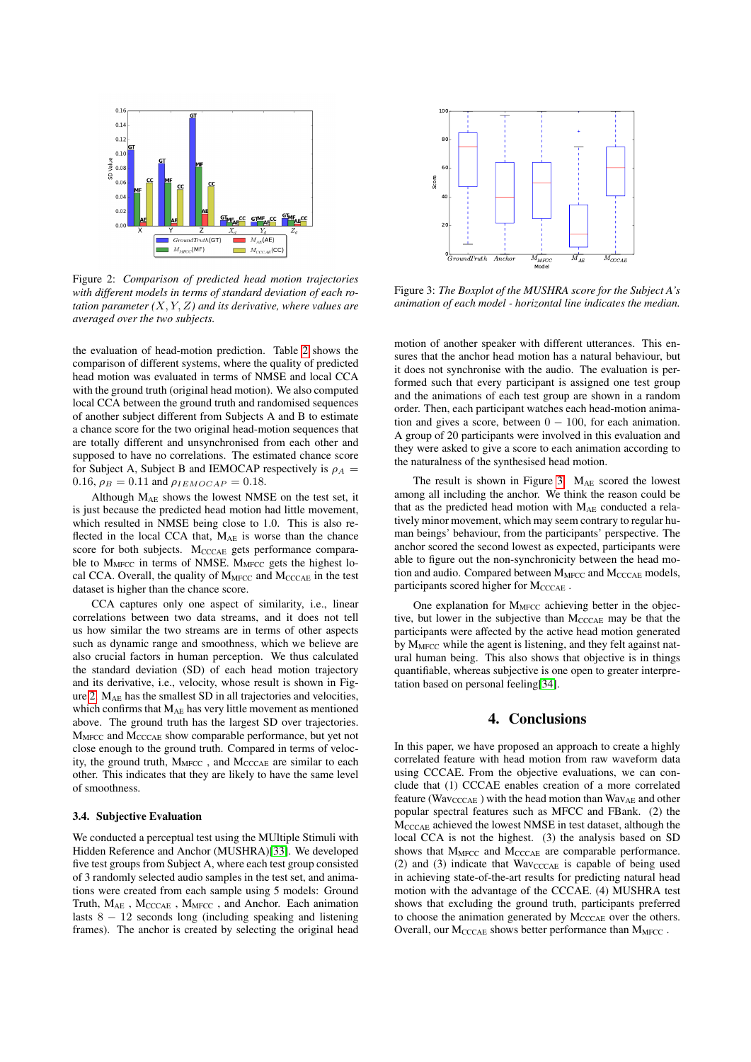<span id="page-3-0"></span>

Figure 2: *Comparison of predicted head motion trajectories with different models in terms of standard deviation of each rotation parameter (*X, Y, Z*) and its derivative, where values are averaged over the two subjects.*

the evaluation of head-motion prediction. Table [2](#page-2-1) shows the comparison of different systems, where the quality of predicted head motion was evaluated in terms of NMSE and local CCA with the ground truth (original head motion). We also computed local CCA between the ground truth and randomised sequences of another subject different from Subjects A and B to estimate a chance score for the two original head-motion sequences that are totally different and unsynchronised from each other and supposed to have no correlations. The estimated chance score for Subject A, Subject B and IEMOCAP respectively is  $\rho_A$  = 0.16,  $\rho_B = 0.11$  and  $\rho_{IEMOCAP} = 0.18$ .

Although MAE shows the lowest NMSE on the test set, it is just because the predicted head motion had little movement, which resulted in NMSE being close to 1.0. This is also reflected in the local CCA that,  $M_{AE}$  is worse than the chance score for both subjects.  $M_{\text{CCAE}}$  gets performance comparable to  $M<sub>MFCC</sub>$  in terms of NMSE.  $M<sub>MFCC</sub>$  gets the highest local CCA. Overall, the quality of  $M<sub>MFCC</sub>$  and  $M<sub>CCCAE</sub>$  in the test dataset is higher than the chance score.

CCA captures only one aspect of similarity, i.e., linear correlations between two data streams, and it does not tell us how similar the two streams are in terms of other aspects such as dynamic range and smoothness, which we believe are also crucial factors in human perception. We thus calculated the standard deviation (SD) of each head motion trajectory and its derivative, i.e., velocity, whose result is shown in Figure [2.](#page-3-0) MAE has the smallest SD in all trajectories and velocities, which confirms that MAE has very little movement as mentioned above. The ground truth has the largest SD over trajectories. M<sub>MFCC</sub> and M<sub>CCCAE</sub> show comparable performance, but yet not close enough to the ground truth. Compared in terms of velocity, the ground truth, M<sub>MFCC</sub>, and M<sub>CCCAE</sub> are similar to each other. This indicates that they are likely to have the same level of smoothness.

### 3.4. Subjective Evaluation

We conducted a perceptual test using the MUltiple Stimuli with Hidden Reference and Anchor (MUSHRA)[\[33\]](#page-4-32). We developed five test groups from Subject A, where each test group consisted of 3 randomly selected audio samples in the test set, and animations were created from each sample using 5 models: Ground Truth,  $M_{\rm AE}$  ,  $M_{\rm CCCAE}$  ,  $M_{\rm MFCC}$  , and Anchor. Each animation lasts  $8 - 12$  seconds long (including speaking and listening frames). The anchor is created by selecting the original head

<span id="page-3-1"></span>

Figure 3: *The Boxplot of the MUSHRA score for the Subject A's animation of each model - horizontal line indicates the median.*

motion of another speaker with different utterances. This ensures that the anchor head motion has a natural behaviour, but it does not synchronise with the audio. The evaluation is performed such that every participant is assigned one test group and the animations of each test group are shown in a random order. Then, each participant watches each head-motion animation and gives a score, between  $0 - 100$ , for each animation. A group of 20 participants were involved in this evaluation and they were asked to give a score to each animation according to the naturalness of the synthesised head motion.

The result is shown in Figure [3.](#page-3-1)  $M_{AE}$  scored the lowest among all including the anchor. We think the reason could be that as the predicted head motion with  $M_{AE}$  conducted a relatively minor movement, which may seem contrary to regular human beings' behaviour, from the participants' perspective. The anchor scored the second lowest as expected, participants were able to figure out the non-synchronicity between the head motion and audio. Compared between  $M_{\text{MFCC}}$  and  $M_{\text{CCCAE}}$  models, participants scored higher for MCCCAE.

One explanation for  $M<sub>MFCC</sub>$  achieving better in the objective, but lower in the subjective than M<sub>CCCAE</sub> may be that the participants were affected by the active head motion generated by M<sub>MFCC</sub> while the agent is listening, and they felt against natural human being. This also shows that objective is in things quantifiable, whereas subjective is one open to greater interpretation based on personal feeling[\[34\]](#page-4-33).

# 4. Conclusions

In this paper, we have proposed an approach to create a highly correlated feature with head motion from raw waveform data using CCCAE. From the objective evaluations, we can conclude that (1) CCCAE enables creation of a more correlated feature (Wav<sub>CCCAE</sub>) with the head motion than Wav<sub>AE</sub> and other popular spectral features such as MFCC and FBank. (2) the MCCCAE achieved the lowest NMSE in test dataset, although the local CCA is not the highest. (3) the analysis based on SD shows that  $M<sub>MFCC</sub>$  and  $M<sub>CCCAE</sub>$  are comparable performance. (2) and (3) indicate that  $Wave_{CCCAE}$  is capable of being used in achieving state-of-the-art results for predicting natural head motion with the advantage of the CCCAE. (4) MUSHRA test shows that excluding the ground truth, participants preferred to choose the animation generated by M<sub>CCCAE</sub> over the others. Overall, our M<sub>CCCAE</sub> shows better performance than M<sub>MFCC</sub>.